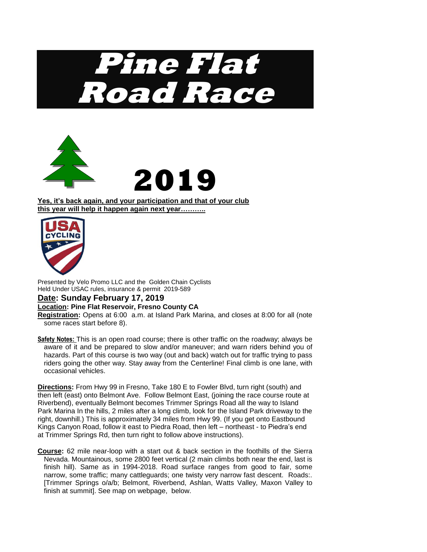



**Yes, it's back again, and your participation and that of your club this year will help it happen again next year………..**



Presented by Velo Promo LLC and the Golden Chain Cyclists Held Under USAC rules, insurance & permit 2019-589

## **Date: Sunday February 17, 2019**

## **Location: Pine Flat Reservoir, Fresno County CA**

**Registration:** Opens at 6:00 a.m. at Island Park Marina, and closes at 8:00 for all (note some races start before 8).

**Safety Notes:** This is an open road course; there is other traffic on the roadway; always be aware of it and be prepared to slow and/or maneuver; and warn riders behind you of hazards. Part of this course is two way (out and back) watch out for traffic trying to pass riders going the other way. Stay away from the Centerline! Final climb is one lane, with occasional vehicles.

**Directions:** From Hwy 99 in Fresno, Take 180 E to Fowler Blvd, turn right (south) and then left (east) onto Belmont Ave. Follow Belmont East, (joining the race course route at Riverbend), eventually Belmont becomes Trimmer Springs Road all the way to Island Park Marina In the hills, 2 miles after a long climb, look for the Island Park driveway to the right, downhill.) This is approximately 34 miles from Hwy 99. (If you get onto Eastbound Kings Canyon Road, follow it east to Piedra Road, then left – northeast - to Piedra's end at Trimmer Springs Rd, then turn right to follow above instructions).

**Course:** 62 mile near-loop with a start out & back section in the foothills of the Sierra Nevada. Mountainous, some 2800 feet vertical (2 main climbs both near the end, last is finish hill). Same as in 1994-2018. Road surface ranges from good to fair, some narrow, some traffic; many cattleguards; one twisty very narrow fast descent. Roads:. [Trimmer Springs o/a/b; Belmont, Riverbend, Ashlan, Watts Valley, Maxon Valley to finish at summit]. See map on webpage, below.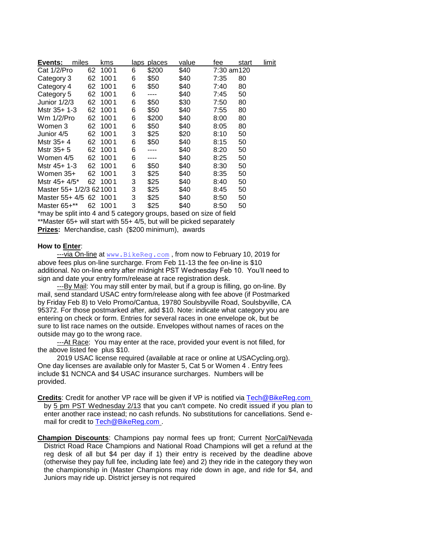| Events:                   | miles | kms     | laps | places | value | fee        | start | limit |
|---------------------------|-------|---------|------|--------|-------|------------|-------|-------|
| Cat 1/2/Pro               | 62    | 1001    | 6    | \$200  | \$40  | 7:30 am120 |       |       |
| Category 3                | 62    | 1001    | 6    | \$50   | \$40  | 7:35       | 80    |       |
| Category 4                | 62    | 1001    | 6    | \$50   | \$40  | 7:40       | 80    |       |
| Category 5                | 62    | 1001    | 6    | ----   | \$40  | 7:45       | 50    |       |
| Junior 1/2/3              | 62    | 1001    | 6    | \$50   | \$30  | 7:50       | 80    |       |
| Mstr 35+ 1-3              | 62    | 1001    | 6    | \$50   | \$40  | 7:55       | 80    |       |
| Wm 1/2/Pro                | 62    | 1001    | 6    | \$200  | \$40  | 8:00       | 80    |       |
| Women 3                   | 62    | 1001    | 6    | \$50   | \$40  | 8:05       | 80    |       |
| Junior 4/5                | 62    | 1001    | 3    | \$25   | \$20  | 8:10       | 50    |       |
| Mstr 35+4                 | 62    | 1001    | 6    | \$50   | \$40  | 8:15       | 50    |       |
| Mstr 35+ 5                | 62    | 1001    | 6    |        | \$40  | 8:20       | 50    |       |
| Women 4/5                 | 62    | 1001    | 6    |        | \$40  | 8:25       | 50    |       |
| Mstr 45+ 1-3              | 62    | 1001    | 6    | \$50   | \$40  | 8:30       | 50    |       |
| Women 35+                 | 62    | 1001    | 3    | \$25   | \$40  | 8:35       | 50    |       |
| Mstr 45+ 4/5*             |       | 62 1001 | 3    | \$25   | \$40  | 8:40       | 50    |       |
| Master 55+ 1/2/3 62 100 1 |       |         | 3    | \$25   | \$40  | 8:45       | 50    |       |
| Master 55+ 4/5 62 1001    |       |         | 3    | \$25   | \$40  | 8:50       | 50    |       |
| Master 65+**              | 62    | 1001    | 3    | \$25   | \$40  | 8:50       | 50    |       |

\*may be split into 4 and 5 category groups, based on size of field

\*\*Master 65+ will start with 55+ 4/5, but will be picked separately

**Prizes:** Merchandise, cash (\$200 minimum), awards

## **How to Enter**:

---via On-line at [www.BikeReg.com](http://www.bikereg.com/), from now to February 10, 2019 for above fees plus on-line surcharge. From Feb 11-13 the fee on-line is \$10 additional. No on-line entry after midnight PST Wednesday Feb 10. You'll need to sign and date your entry form/release at race registration desk.

 ---By Mail: You may still enter by mail, but if a group is filling, go on-line. By mail, send standard USAC entry form/release along with fee above (if Postmarked by Friday Feb 8) to Velo Promo/Cantua, 19780 Soulsbyville Road, Soulsbyville, CA 95372. For those postmarked after, add \$10. Note: indicate what category you are entering on check or form. Entries for several races in one envelope ok, but be sure to list race names on the outside. Envelopes without names of races on the outside may go to the wrong race.

 ---At Race: You may enter at the race, provided your event is not filled, for the above listed fee plus \$10.

 2019 USAC license required (available at race or online at USACycling.org). One day licenses are available only for Master 5, Cat 5 or Women 4 . Entry fees include \$1 NCNCA and \$4 USAC insurance surcharges. Numbers will be provided.

**Credits**: Credit for another VP race will be given if VP is notified via [Tech@BikeReg.com](mailto:Tech@BikeReg.com) by 5 pm PST Wednesday 2/13 that you can't compete. No credit issued if you plan to enter another race instead; no cash refunds. No substitutions for cancellations. Send email for credit to **Tech@BikeReg.com**.

**Champion Discounts**: Champions pay normal fees up front; Current NorCal/Nevada District Road Race Champions and National Road Champions will get a refund at the reg desk of all but \$4 per day if 1) their entry is received by the deadline above (otherwise they pay full fee, including late fee) and 2) they ride in the category they won the championship in (Master Champions may ride down in age, and ride for \$4, and Juniors may ride up. District jersey is not required